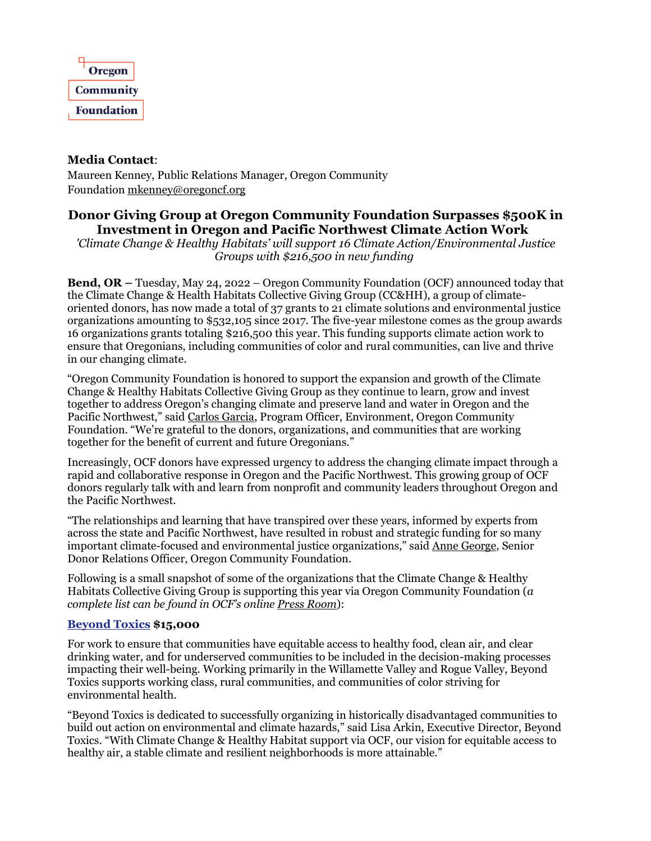

## **Media Contact**:

Maureen Kenney, Public Relations Manager, Oregon Community Foundation [mkenney@oregoncf.org](mailto:mkenney@oregoncf.org)

# **Donor Giving Group at Oregon Community Foundation Surpasses \$500K in Investment in Oregon and Pacific Northwest Climate Action Work**

*'Climate Change & Healthy Habitats' will support 16 Climate Action/Environmental Justice Groups with \$216,500 in new funding*

**Bend, OR –** Tuesday, May 24, 2022 – Oregon Community Foundation (OCF) announced today that the Climate Change & Health Habitats Collective Giving Group (CC&HH), a group of climateoriented donors, has now made a total of 37 grants to 21 climate solutions and environmental justice organizations amounting to \$532,105 since 2017. The five-year milestone comes as the group awards 16 organizations grants totaling \$216,500 this year. This funding supports climate action work to ensure that Oregonians, including communities of color and rural communities, can live and thrive in our changing climate.

"Oregon Community Foundation is honored to support the expansion and growth of the Climate Change & Healthy Habitats Collective Giving Group as they continue to learn, grow and invest together to address Oregon's changing climate and preserve land and water in Oregon and the Pacific Northwest," said [Carlos Garcia,](https://oregoncf.org/about/our-people/staff/carlos-garcia/) Program Officer, Environment, Oregon Community Foundation. "We're grateful to the donors, organizations, and communities that are working together for the benefit of current and future Oregonians."

Increasingly, OCF donors have expressed urgency to address the changing climate impact through a rapid and collaborative response in Oregon and the Pacific Northwest. This growing group of OCF donors regularly talk with and learn from nonprofit and community leaders throughout Oregon and the Pacific Northwest.

"The relationships and learning that have transpired over these years, informed by experts from across the state and Pacific Northwest, have resulted in robust and strategic funding for so many important climate-focused and environmental justice organizations," said [Anne George,](https://oregoncf.org/about/our-people/staff/anne-george/) Senior Donor Relations Officer, Oregon Community Foundation.

Following is a small snapshot of some of the organizations that the Climate Change & Healthy Habitats Collective Giving Group is supporting this year via Oregon Community Foundation (*a complete list can be found in OCF's online [Press Room](https://oregoncf.org/press-room/)*):

## **[Beyond Toxics](https://www.beyondtoxics.org/) \$15,000**

For work to ensure that communities have equitable access to healthy food, clean air, and clear drinking water, and for underserved communities to be included in the decision-making processes impacting their well-being. Working primarily in the Willamette Valley and Rogue Valley, Beyond Toxics supports working class, rural communities, and communities of color striving for environmental health.

"Beyond Toxics is dedicated to successfully organizing in historically disadvantaged communities to build out action on environmental and climate hazards," said Lisa Arkin, Executive Director, Beyond Toxics. "With Climate Change & Healthy Habitat support via OCF, our vision for equitable access to healthy air, a stable climate and resilient neighborhoods is more attainable."